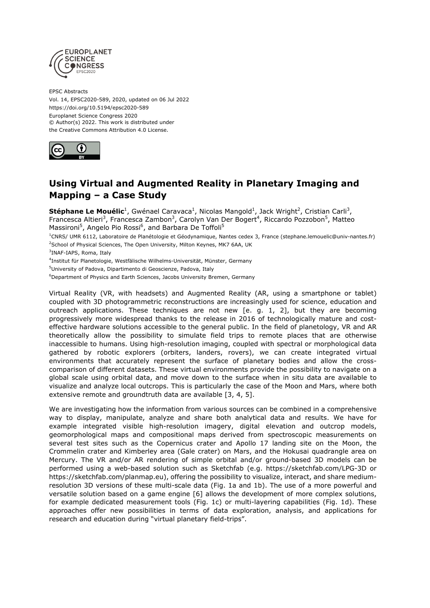

EPSC Abstracts Vol. 14, EPSC2020-589, 2020, updated on 06 Jul 2022 https://doi.org/10.5194/epsc2020-589 Europlanet Science Congress 2020 © Author(s) 2022. This work is distributed under the Creative Commons Attribution 4.0 License.



## **Using Virtual and Augmented Reality in Planetary Imaging and Mapping – a Case Study**

**Stéphane Le Mouélic<sup>1</sup>,** Gwénael Caravaca<sup>1</sup>, Nicolas Mangold<sup>1</sup>, Jack Wright<sup>2</sup>, Cristian Carli<sup>3</sup>, Francesca Altieri<sup>3</sup>, Francesca Zambon<sup>3</sup>, Carolyn Van Der Bogert<sup>4</sup>, Riccardo Pozzobon<sup>5</sup>, Matteo Massironi<sup>5</sup>, Angelo Pio Rossi<sup>6</sup>, and Barbara De Toffoli<sup>5</sup>

<sup>1</sup>CNRS/ UMR 6112, Laboratoire de Planétologie et Géodynamique, Nantes cedex 3, France (stephane.lemouelic@univ-nantes.fr) <sup>2</sup>School of Physical Sciences, The Open University, Milton Keynes, MK7 6AA, UK

3 INAF-IAPS, Roma, Italy

4 Institut für Planetologie, Westfälische Wilhelms-Universität, Münster, Germany

<sup>5</sup>University of Padova, Dipartimento di Geoscienze, Padova, Italy

<sup>6</sup>Department of Physics and Earth Sciences, Jacobs University Bremen, Germany

Virtual Reality (VR, with headsets) and Augmented Reality (AR, using a smartphone or tablet) coupled with 3D photogrammetric reconstructions are increasingly used for science, education and outreach applications. These techniques are not new [e. g. 1, 2], but they are becoming progressively more widespread thanks to the release in 2016 of technologically mature and costeffective hardware solutions accessible to the general public. In the field of planetology, VR and AR theoretically allow the possibility to simulate field trips to remote places that are otherwise inaccessible to humans. Using high-resolution imaging, coupled with spectral or morphological data gathered by robotic explorers (orbiters, landers, rovers), we can create integrated virtual environments that accurately represent the surface of planetary bodies and allow the crosscomparison of different datasets. These virtual environments provide the possibility to navigate on a global scale using orbital data, and move down to the surface when in situ data are available to visualize and analyze local outcrops. This is particularly the case of the Moon and Mars, where both extensive remote and groundtruth data are available [3, 4, 5].

We are investigating how the information from various sources can be combined in a comprehensive way to display, manipulate, analyze and share both analytical data and results. We have for example integrated visible high-resolution imagery, digital elevation and outcrop models, geomorphological maps and compositional maps derived from spectroscopic measurements on several test sites such as the Copernicus crater and Apollo 17 landing site on the Moon, the Crommelin crater and Kimberley area (Gale crater) on Mars, and the Hokusai quadrangle area on Mercury. The VR and/or AR rendering of simple orbital and/or ground-based 3D models can be performed using a web-based solution such as Sketchfab (e.g. https://sketchfab.com/LPG-3D or https://sketchfab.com/planmap.eu), offering the possibility to visualize, interact, and share mediumresolution 3D versions of these multi-scale data (Fig. 1a and 1b). The use of a more powerful and versatile solution based on a game engine [6] allows the development of more complex solutions, for example dedicated measurement tools (Fig. 1c) or multi-layering capabilities (Fig. 1d). These approaches offer new possibilities in terms of data exploration, analysis, and applications for research and education during "virtual planetary field-trips".